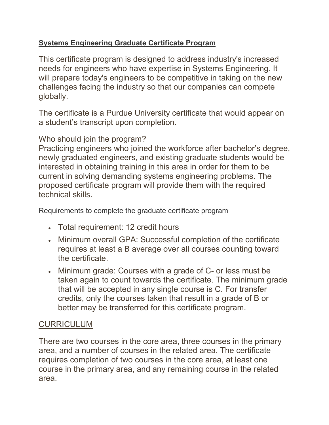## **Systems Engineering Graduate Certificate Program**

This certificate program is designed to address industry's increased needs for engineers who have expertise in Systems Engineering. It will prepare today's engineers to be competitive in taking on the new challenges facing the industry so that our companies can compete globally.

The certificate is a Purdue University certificate that would appear on a student's transcript upon completion.

## Who should join the program?

Practicing engineers who joined the workforce after bachelor's degree, newly graduated engineers, and existing graduate students would be interested in obtaining training in this area in order for them to be current in solving demanding systems engineering problems. The proposed certificate program will provide them with the required technical skills.

Requirements to complete the graduate certificate program

- Total requirement: 12 credit hours
- Minimum overall GPA: Successful completion of the certificate requires at least a B average over all courses counting toward the certificate.
- Minimum grade: Courses with a grade of C- or less must be taken again to count towards the certificate. The minimum grade that will be accepted in any single course is C. For transfer credits, only the courses taken that result in a grade of B or better may be transferred for this certificate program.

## CURRICULUM

There are two courses in the core area, three courses in the primary area, and a number of courses in the related area. The certificate requires completion of two courses in the core area, at least one course in the primary area, and any remaining course in the related area.